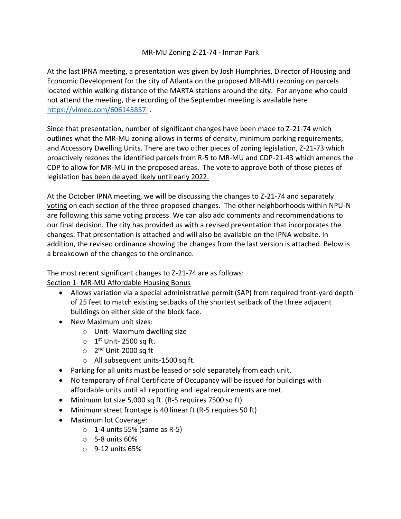## MR-MU Zoning Z-21-74 - Inman Park

At the last IPNA meeting, a presentation was given by Josh Humphries, Director of Housing and Economic Development for the city of Atlanta on the proposed MR-MU rezoning on parcels located within walking distance of the MARTA stations around the city. For anyone who could not attend the meeting, the recording of the September meeting is available here <https://vimeo.com/606145857> .

Since that presentation, number of significant changes have been made to Z-21-74 which outlines what the MR-MU zoning allows in terms of density, minimum parking requirements, and Accessory Dwelling Units. There are two other pieces of zoning legislation, Z-21-73 which proactively rezones the identified parcels from R-5 to MR-MU and CDP-21-43 which amends the CDP to allow for MR-MU in the proposed areas. The vote to approve both of those pieces of legislation has been delayed likely until early 2022.

At the October IPNA meeting, we will be discussing the changes to Z-21-74 and separately voting on each section of the three proposed changes. The other neighborhoods within NPU-N are following this same voting process. We can also add comments and recommendations to our final decision. The city has provided us with a revised presentation that incorporates the changes. That presentation is attached and will also be available on the IPNA website. In addition, the revised ordinance showing the changes from the last version is attached. Below is a breakdown of the changes to the ordinance.

The most recent significant changes to Z-21-74 are as follows:

Section 1- MR-MU Affordable Housing Bonus

- Allows variation via a special administrative permit (SAP) from required front-yard depth of 25 feet to match existing setbacks of the shortest setback of the three adjacent buildings on either side of the block face.
- New Maximum unit sizes:
	- o Unit- Maximum dwelling size
	- $\circ$  1<sup>st</sup> Unit-2500 sq ft.
	- 2<sup>nd</sup> Unit-2000 sq ft
	- o All subsequent units-1500 sq ft.
- Parking for all units must be leased or sold separately from each unit.
- No temporary of final Certificate of Occupancy will be issued for buildings with affordable units until all reporting and legal requirements are met.
- Minimum lot size 5,000 sq ft. (R-5 requires 7500 sq ft)
- Minimum street frontage is 40 linear ft (R-5 requires 50 ft)
- Maximum lot Coverage:
	- o 1-4 units 55% (same as R-5)
	- o 5-8 units 60%
	- $\circ$  9-12 units 65%